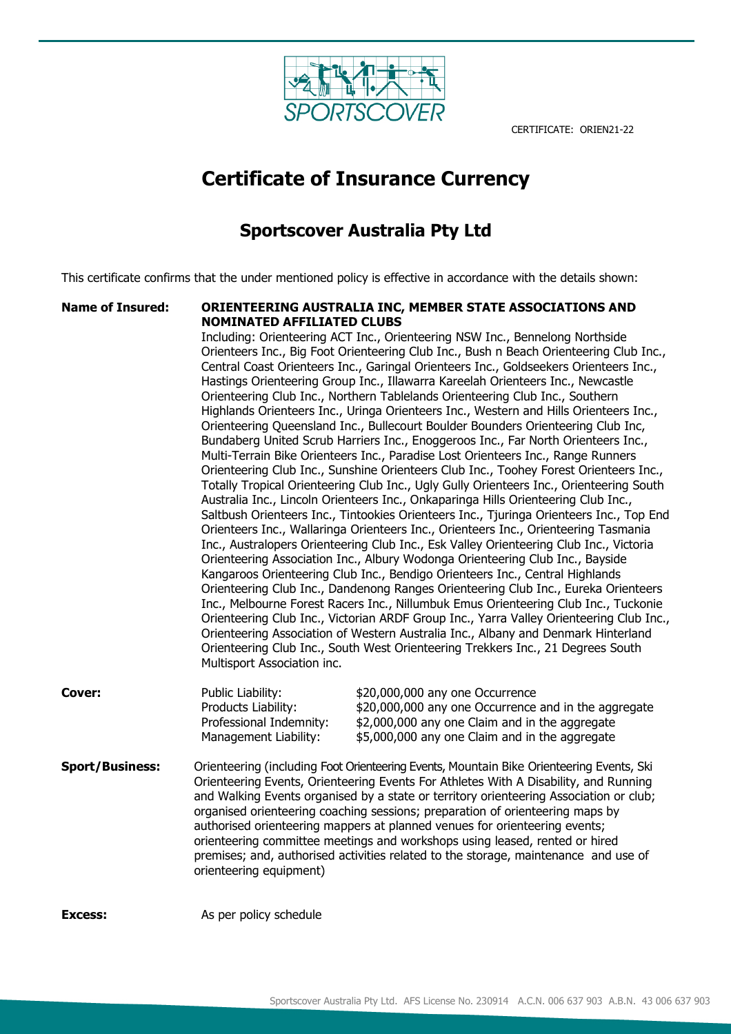

# **Certificate of Insurance Currency**

# **Sportscover Australia Pty Ltd**

This certificate confirms that the under mentioned policy is effective in accordance with the details shown:

## **Name of Insured: ORIENTEERING AUSTRALIA INC, MEMBER STATE ASSOCIATIONS AND NOMINATED AFFILIATED CLUBS**

Including: Orienteering ACT Inc., Orienteering NSW Inc., Bennelong Northside Orienteers Inc., Big Foot Orienteering Club Inc., Bush n Beach Orienteering Club Inc., Central Coast Orienteers Inc., Garingal Orienteers Inc., Goldseekers Orienteers Inc., Hastings Orienteering Group Inc., Illawarra Kareelah Orienteers Inc., Newcastle Orienteering Club Inc., Northern Tablelands Orienteering Club Inc., Southern Highlands Orienteers Inc., Uringa Orienteers Inc., Western and Hills Orienteers Inc., Orienteering Queensland Inc., Bullecourt Boulder Bounders Orienteering Club Inc, Bundaberg United Scrub Harriers Inc., Enoggeroos Inc., Far North Orienteers Inc., Multi-Terrain Bike Orienteers Inc., Paradise Lost Orienteers Inc., Range Runners Orienteering Club Inc., Sunshine Orienteers Club Inc., Toohey Forest Orienteers Inc., Totally Tropical Orienteering Club Inc., Ugly Gully Orienteers Inc., Orienteering South Australia Inc., Lincoln Orienteers Inc., Onkaparinga Hills Orienteering Club Inc., Saltbush Orienteers Inc., Tintookies Orienteers Inc., Tjuringa Orienteers Inc., Top End Orienteers Inc., Wallaringa Orienteers Inc., Orienteers Inc., Orienteering Tasmania Inc., Australopers Orienteering Club Inc., Esk Valley Orienteering Club Inc., Victoria Orienteering Association Inc., Albury Wodonga Orienteering Club Inc., Bayside Kangaroos Orienteering Club Inc., Bendigo Orienteers Inc., Central Highlands Orienteering Club Inc., Dandenong Ranges Orienteering Club Inc., Eureka Orienteers Inc., Melbourne Forest Racers Inc., Nillumbuk Emus Orienteering Club Inc., Tuckonie Orienteering Club Inc., Victorian ARDF Group Inc., Yarra Valley Orienteering Club Inc., Orienteering Association of Western Australia Inc., Albany and Denmark Hinterland Orienteering Club Inc., South West Orienteering Trekkers Inc., 21 Degrees South Multisport Association inc.

- **Cover:** Public Liability:  $$20,000,000$  any one Occurrence Products Liability: \$20,000,000 any one Occurrence and in the aggregate Professional Indemnity: \$2,000,000 any one Claim and in the aggregate Management Liability: \$5,000,000 any one Claim and in the aggregate
- **Sport/Business:** Orienteering (including Foot Orienteering Events, Mountain Bike Orienteering Events, Ski Orienteering Events, Orienteering Events For Athletes With A Disability, and Running and Walking Events organised by a state or territory orienteering Association or club; organised orienteering coaching sessions; preparation of orienteering maps by authorised orienteering mappers at planned venues for orienteering events; orienteering committee meetings and workshops using leased, rented or hired premises; and, authorised activities related to the storage, maintenance and use of orienteering equipment)

**Excess:** As per policy schedule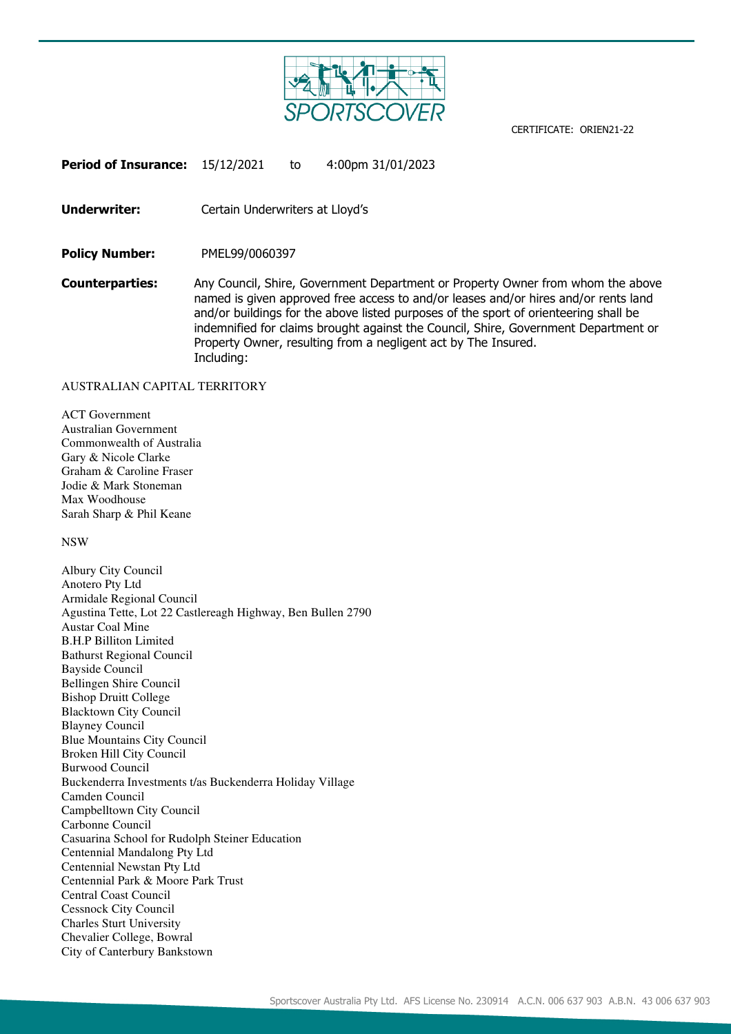

**Period of Insurance:** 15/12/2021 to 4:00pm 31/01/2023

**Underwriter:** Certain Underwriters at Lloyd's

**Policy Number:** PMEL99/0060397

**Counterparties:** Any Council, Shire, Government Department or Property Owner from whom the above named is given approved free access to and/or leases and/or hires and/or rents land and/or buildings for the above listed purposes of the sport of orienteering shall be indemnified for claims brought against the Council, Shire, Government Department or Property Owner, resulting from a negligent act by The Insured. Including:

#### AUSTRALIAN CAPITAL TERRITORY

ACT Government Australian Government Commonwealth of Australia Gary & Nicole Clarke Graham & Caroline Fraser Jodie & Mark Stoneman Max Woodhouse Sarah Sharp & Phil Keane

NSW

Albury City Council Anotero Pty Ltd Armidale Regional Council Agustina Tette, Lot 22 Castlereagh Highway, Ben Bullen 2790 Austar Coal Mine B.H.P Billiton Limited Bathurst Regional Council Bayside Council Bellingen Shire Council Bishop Druitt College Blacktown City Council Blayney Council Blue Mountains City Council Broken Hill City Council Burwood Council Buckenderra Investments t/as Buckenderra Holiday Village Camden Council Campbelltown City Council Carbonne Council Casuarina School for Rudolph Steiner Education Centennial Mandalong Pty Ltd Centennial Newstan Pty Ltd Centennial Park & Moore Park Trust Central Coast Council Cessnock City Council Charles Sturt University Chevalier College, Bowral City of Canterbury Bankstown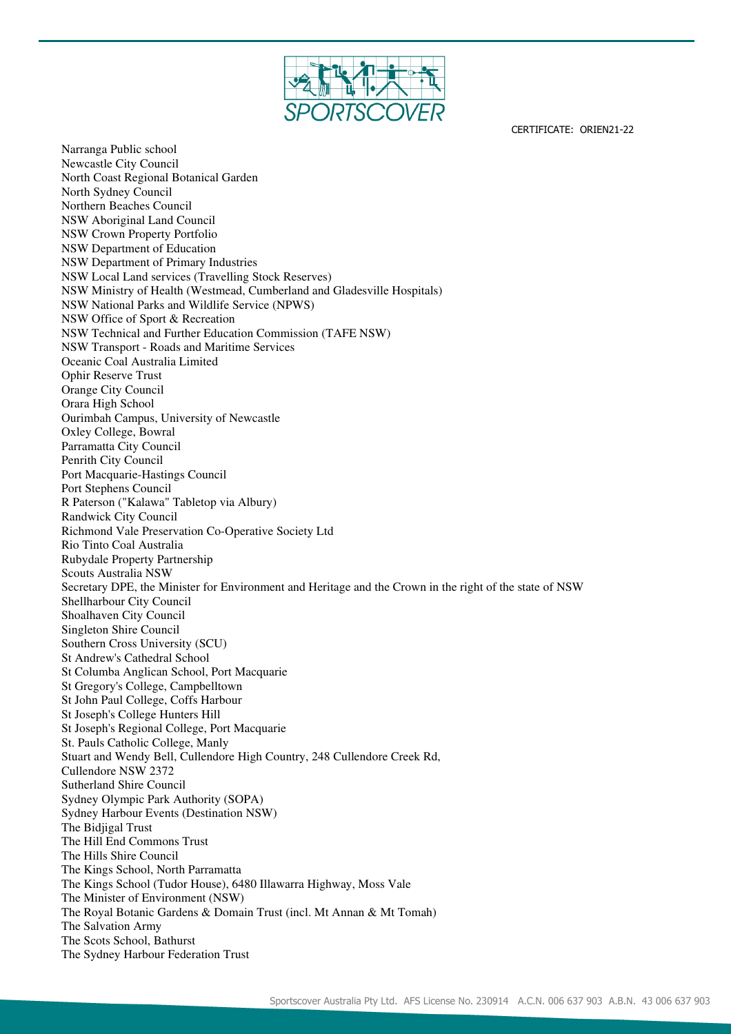

Narranga Public school Newcastle City Council North Coast Regional Botanical Garden North Sydney Council Northern Beaches Council NSW Aboriginal Land Council NSW Crown Property Portfolio NSW Department of Education NSW Department of Primary Industries NSW Local Land services (Travelling Stock Reserves) NSW Ministry of Health (Westmead, Cumberland and Gladesville Hospitals) NSW National Parks and Wildlife Service (NPWS) NSW Office of Sport & Recreation NSW Technical and Further Education Commission (TAFE NSW) NSW Transport - Roads and Maritime Services Oceanic Coal Australia Limited Ophir Reserve Trust Orange City Council Orara High School Ourimbah Campus, University of Newcastle Oxley College, Bowral Parramatta City Council Penrith City Council Port Macquarie-Hastings Council Port Stephens Council R Paterson ("Kalawa" Tabletop via Albury) Randwick City Council Richmond Vale Preservation Co-Operative Society Ltd Rio Tinto Coal Australia Rubydale Property Partnership Scouts Australia NSW Secretary DPE, the Minister for Environment and Heritage and the Crown in the right of the state of NSW Shellharbour City Council Shoalhaven City Council Singleton Shire Council Southern Cross University (SCU) St Andrew's Cathedral School St Columba Anglican School, Port Macquarie St Gregory's College, Campbelltown St John Paul College, Coffs Harbour St Joseph's College Hunters Hill St Joseph's Regional College, Port Macquarie St. Pauls Catholic College, Manly Stuart and Wendy Bell, Cullendore High Country, 248 Cullendore Creek Rd, Cullendore NSW 2372 Sutherland Shire Council Sydney Olympic Park Authority (SOPA) Sydney Harbour Events (Destination NSW) The Bidjigal Trust The Hill End Commons Trust The Hills Shire Council The Kings School, North Parramatta The Kings School (Tudor House), 6480 Illawarra Highway, Moss Vale The Minister of Environment (NSW) The Royal Botanic Gardens & Domain Trust (incl. Mt Annan & Mt Tomah) The Salvation Army The Scots School, Bathurst The Sydney Harbour Federation Trust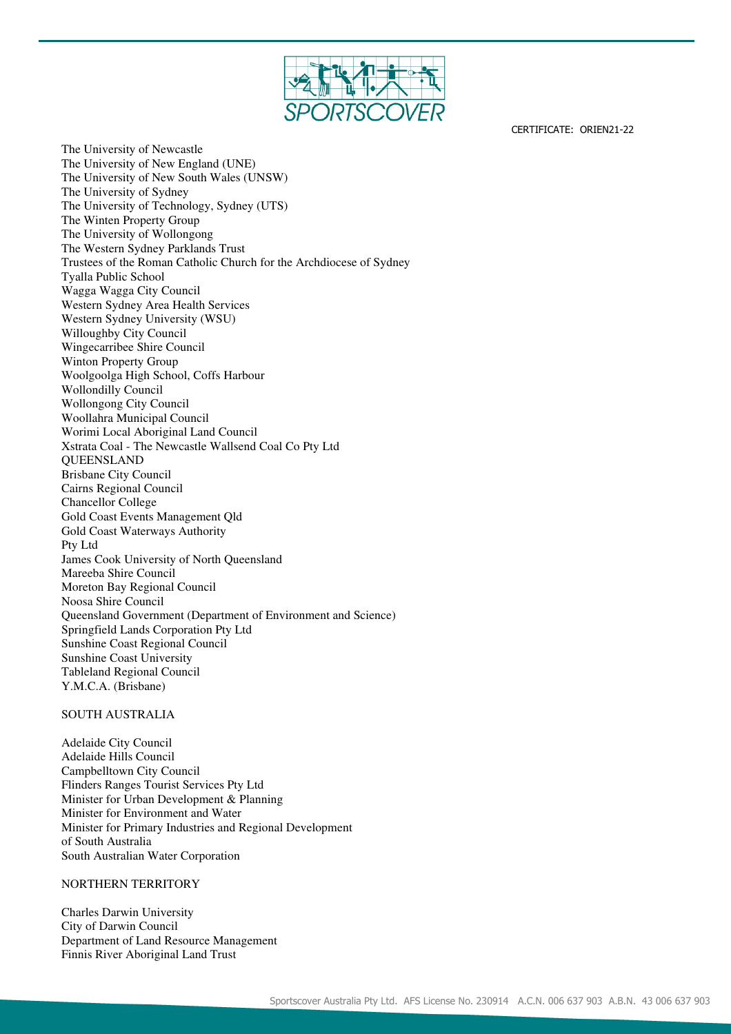

The University of Newcastle The University of New England (UNE) The University of New South Wales (UNSW) The University of Sydney The University of Technology, Sydney (UTS) The Winten Property Group The University of Wollongong The Western Sydney Parklands Trust Trustees of the Roman Catholic Church for the Archdiocese of Sydney Tyalla Public School Wagga Wagga City Council Western Sydney Area Health Services Western Sydney University (WSU) Willoughby City Council Wingecarribee Shire Council Winton Property Group Woolgoolga High School, Coffs Harbour Wollondilly Council Wollongong City Council Woollahra Municipal Council Worimi Local Aboriginal Land Council Xstrata Coal - The Newcastle Wallsend Coal Co Pty Ltd QUEENSLAND Brisbane City Council Cairns Regional Council Chancellor College Gold Coast Events Management Qld Gold Coast Waterways Authority Pty Ltd James Cook University of North Queensland Mareeba Shire Council Moreton Bay Regional Council Noosa Shire Council Queensland Government (Department of Environment and Science) Springfield Lands Corporation Pty Ltd Sunshine Coast Regional Council Sunshine Coast University Tableland Regional Council Y.M.C.A. (Brisbane)

#### SOUTH AUSTRALIA

Adelaide City Council Adelaide Hills Council Campbelltown City Council Flinders Ranges Tourist Services Pty Ltd Minister for Urban Development & Planning Minister for Environment and Water Minister for Primary Industries and Regional Development of South Australia South Australian Water Corporation

#### NORTHERN TERRITORY

Charles Darwin University City of Darwin Council Department of Land Resource Management Finnis River Aboriginal Land Trust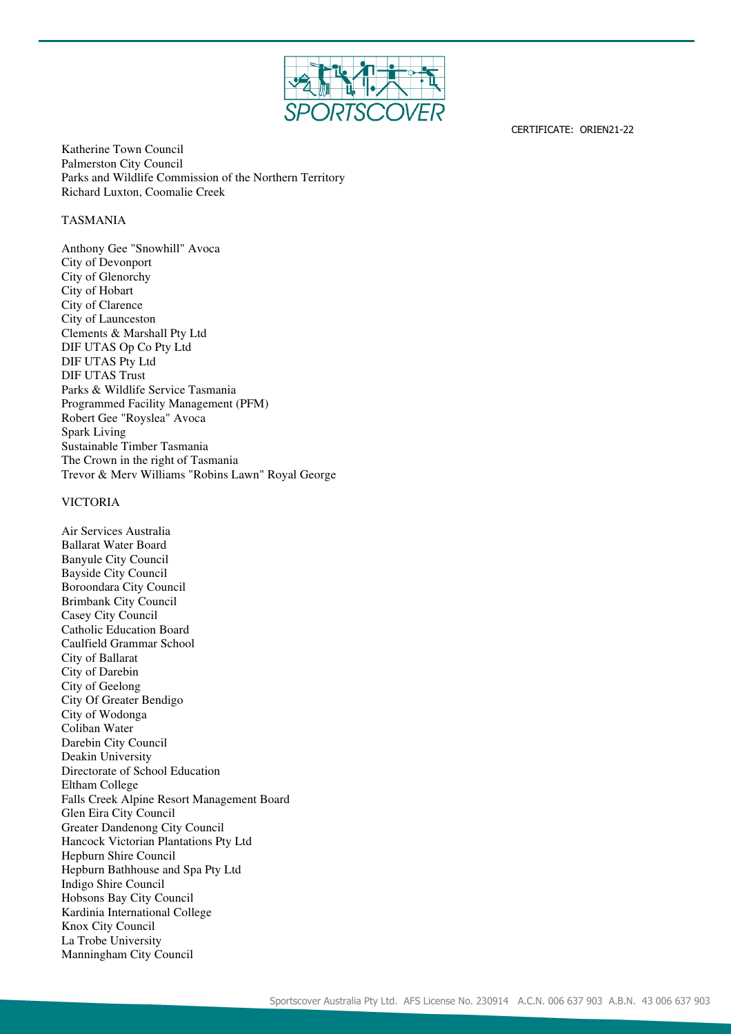

Katherine Town Council Palmerston City Council Parks and Wildlife Commission of the Northern Territory Richard Luxton, Coomalie Creek

### TASMANIA

Anthony Gee "Snowhill" Avoca City of Devonport City of Glenorchy City of Hobart City of Clarence City of Launceston Clements & Marshall Pty Ltd DIF UTAS Op Co Pty Ltd DIF UTAS Pty Ltd DIF UTAS Trust Parks & Wildlife Service Tasmania Programmed Facility Management (PFM) Robert Gee "Royslea" Avoca Spark Living Sustainable Timber Tasmania The Crown in the right of Tasmania Trevor & Merv Williams "Robins Lawn" Royal George

#### VICTORIA

Air Services Australia Ballarat Water Board Banyule City Council Bayside City Council Boroondara City Council Brimbank City Council Casey City Council Catholic Education Board Caulfield Grammar School City of Ballarat City of Darebin City of Geelong City Of Greater Bendigo City of Wodonga Coliban Water Darebin City Council Deakin University Directorate of School Education Eltham College Falls Creek Alpine Resort Management Board Glen Eira City Council Greater Dandenong City Council Hancock Victorian Plantations Pty Ltd Hepburn Shire Council Hepburn Bathhouse and Spa Pty Ltd Indigo Shire Council Hobsons Bay City Council Kardinia International College Knox City Council La Trobe University Manningham City Council